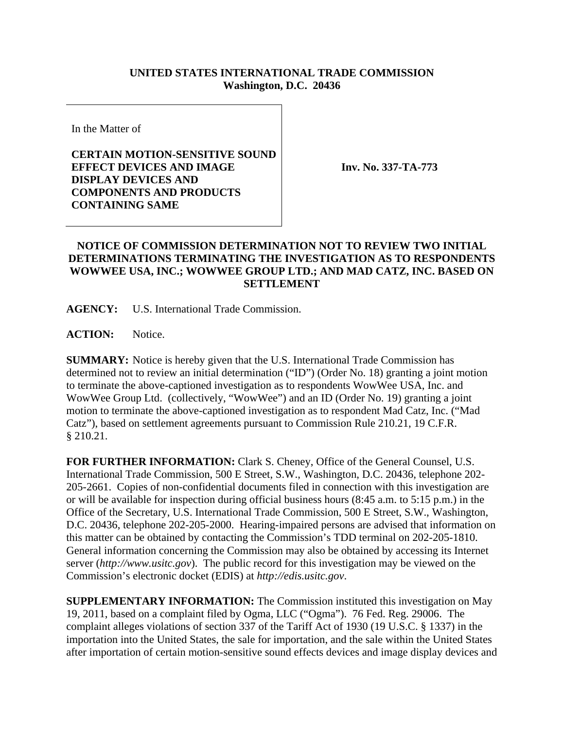## **UNITED STATES INTERNATIONAL TRADE COMMISSION Washington, D.C. 20436**

In the Matter of

## **CERTAIN MOTION-SENSITIVE SOUND EFFECT DEVICES AND IMAGE DISPLAY DEVICES AND COMPONENTS AND PRODUCTS CONTAINING SAME**

**Inv. No. 337-TA-773**

## **NOTICE OF COMMISSION DETERMINATION NOT TO REVIEW TWO INITIAL DETERMINATIONS TERMINATING THE INVESTIGATION AS TO RESPONDENTS WOWWEE USA, INC.; WOWWEE GROUP LTD.; AND MAD CATZ, INC. BASED ON SETTLEMENT**

**AGENCY:** U.S. International Trade Commission.

**ACTION:** Notice.

**SUMMARY:** Notice is hereby given that the U.S. International Trade Commission has determined not to review an initial determination ("ID") (Order No. 18) granting a joint motion to terminate the above-captioned investigation as to respondents WowWee USA, Inc. and WowWee Group Ltd. (collectively, "WowWee") and an ID (Order No. 19) granting a joint motion to terminate the above-captioned investigation as to respondent Mad Catz, Inc. ("Mad Catz"), based on settlement agreements pursuant to Commission Rule 210.21, 19 C.F.R. § 210.21.

**FOR FURTHER INFORMATION:** Clark S. Cheney, Office of the General Counsel, U.S. International Trade Commission, 500 E Street, S.W., Washington, D.C. 20436, telephone 202- 205-2661. Copies of non-confidential documents filed in connection with this investigation are or will be available for inspection during official business hours (8:45 a.m. to 5:15 p.m.) in the Office of the Secretary, U.S. International Trade Commission, 500 E Street, S.W., Washington, D.C. 20436, telephone 202-205-2000. Hearing-impaired persons are advised that information on this matter can be obtained by contacting the Commission's TDD terminal on 202-205-1810. General information concerning the Commission may also be obtained by accessing its Internet server (*http://www.usitc.gov*). The public record for this investigation may be viewed on the Commission's electronic docket (EDIS) at *http://edis.usitc.gov*.

**SUPPLEMENTARY INFORMATION:** The Commission instituted this investigation on May 19, 2011, based on a complaint filed by Ogma, LLC ("Ogma"). 76 Fed. Reg. 29006. The complaint alleges violations of section 337 of the Tariff Act of 1930 (19 U.S.C. § 1337) in the importation into the United States, the sale for importation, and the sale within the United States after importation of certain motion-sensitive sound effects devices and image display devices and